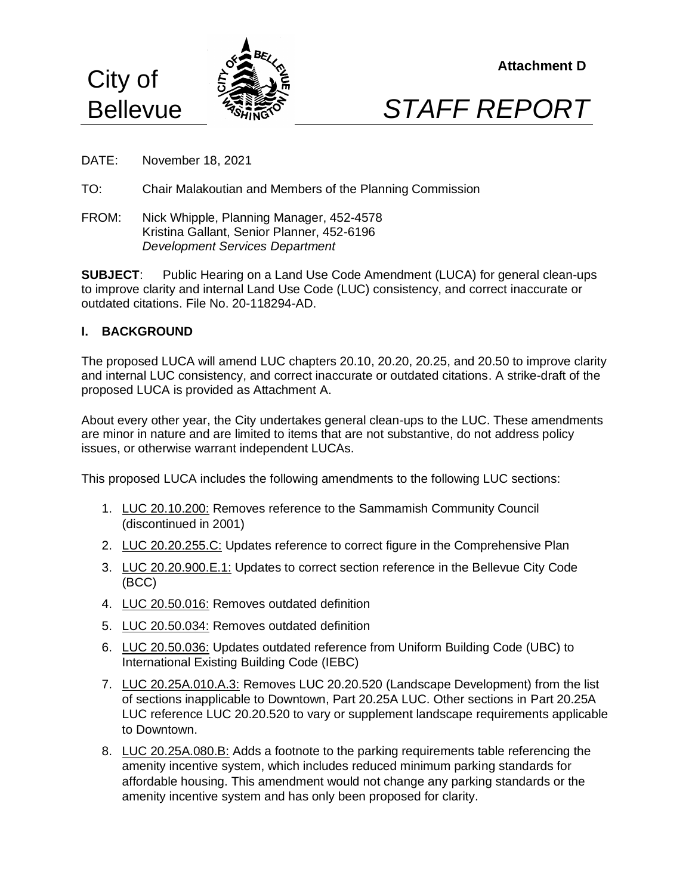



- DATE: November 18, 2021
- TO: Chair Malakoutian and Members of the Planning Commission
- FROM: Nick Whipple, Planning Manager, 452-4578 Kristina Gallant, Senior Planner, 452-6196 *Development Services Department*

**SUBJECT**: Public Hearing on a Land Use Code Amendment (LUCA) for general clean-ups to improve clarity and internal Land Use Code (LUC) consistency, and correct inaccurate or outdated citations. File No. 20-118294-AD.

### **I. BACKGROUND**

The proposed LUCA will amend LUC chapters 20.10, 20.20, 20.25, and 20.50 to improve clarity and internal LUC consistency, and correct inaccurate or outdated citations. A strike-draft of the proposed LUCA is provided as Attachment A.

About every other year, the City undertakes general clean-ups to the LUC. These amendments are minor in nature and are limited to items that are not substantive, do not address policy issues, or otherwise warrant independent LUCAs.

This proposed LUCA includes the following amendments to the following LUC sections:

- 1. LUC 20.10.200: Removes reference to the Sammamish Community Council (discontinued in 2001)
- 2. LUC 20.20.255.C: Updates reference to correct figure in the Comprehensive Plan
- 3. LUC 20.20.900.E.1: Updates to correct section reference in the Bellevue City Code (BCC)
- 4. LUC 20.50.016: Removes outdated definition
- 5. LUC 20.50.034: Removes outdated definition
- 6. LUC 20.50.036: Updates outdated reference from Uniform Building Code (UBC) to International Existing Building Code (IEBC)
- 7. LUC 20.25A.010.A.3: Removes LUC 20.20.520 (Landscape Development) from the list of sections inapplicable to Downtown, Part 20.25A LUC. Other sections in Part 20.25A LUC reference LUC 20.20.520 to vary or supplement landscape requirements applicable to Downtown.
- 8. LUC 20.25A.080.B: Adds a footnote to the parking requirements table referencing the amenity incentive system, which includes reduced minimum parking standards for affordable housing. This amendment would not change any parking standards or the amenity incentive system and has only been proposed for clarity.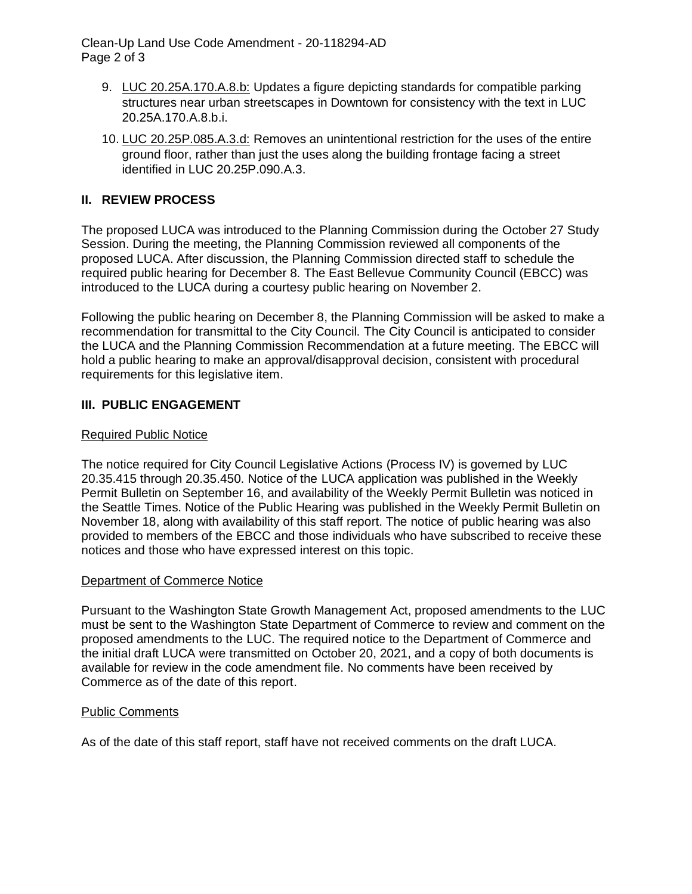Clean-Up Land Use Code Amendment - 20-118294-AD Page 2 of 3

- 9. LUC 20.25A.170.A.8.b: Updates a figure depicting standards for compatible parking structures near urban streetscapes in Downtown for consistency with the text in LUC 20.25A.170.A.8.b.i.
- 10. LUC 20.25P.085.A.3.d: Removes an unintentional restriction for the uses of the entire ground floor, rather than just the uses along the building frontage facing a street identified in LUC 20.25P.090.A.3.

# **II. REVIEW PROCESS**

The proposed LUCA was introduced to the Planning Commission during the October 27 Study Session. During the meeting, the Planning Commission reviewed all components of the proposed LUCA. After discussion, the Planning Commission directed staff to schedule the required public hearing for December 8. The East Bellevue Community Council (EBCC) was introduced to the LUCA during a courtesy public hearing on November 2.

Following the public hearing on December 8, the Planning Commission will be asked to make a recommendation for transmittal to the City Council. The City Council is anticipated to consider the LUCA and the Planning Commission Recommendation at a future meeting. The EBCC will hold a public hearing to make an approval/disapproval decision, consistent with procedural requirements for this legislative item.

# **III. PUBLIC ENGAGEMENT**

### Required Public Notice

The notice required for City Council Legislative Actions (Process IV) is governed by LUC 20.35.415 through 20.35.450. Notice of the LUCA application was published in the Weekly Permit Bulletin on September 16, and availability of the Weekly Permit Bulletin was noticed in the Seattle Times. Notice of the Public Hearing was published in the Weekly Permit Bulletin on November 18, along with availability of this staff report. The notice of public hearing was also provided to members of the EBCC and those individuals who have subscribed to receive these notices and those who have expressed interest on this topic.

#### Department of Commerce Notice

Pursuant to the Washington State Growth Management Act, proposed amendments to the LUC must be sent to the Washington State Department of Commerce to review and comment on the proposed amendments to the LUC. The required notice to the Department of Commerce and the initial draft LUCA were transmitted on October 20, 2021, and a copy of both documents is available for review in the code amendment file. No comments have been received by Commerce as of the date of this report.

#### Public Comments

As of the date of this staff report, staff have not received comments on the draft LUCA.